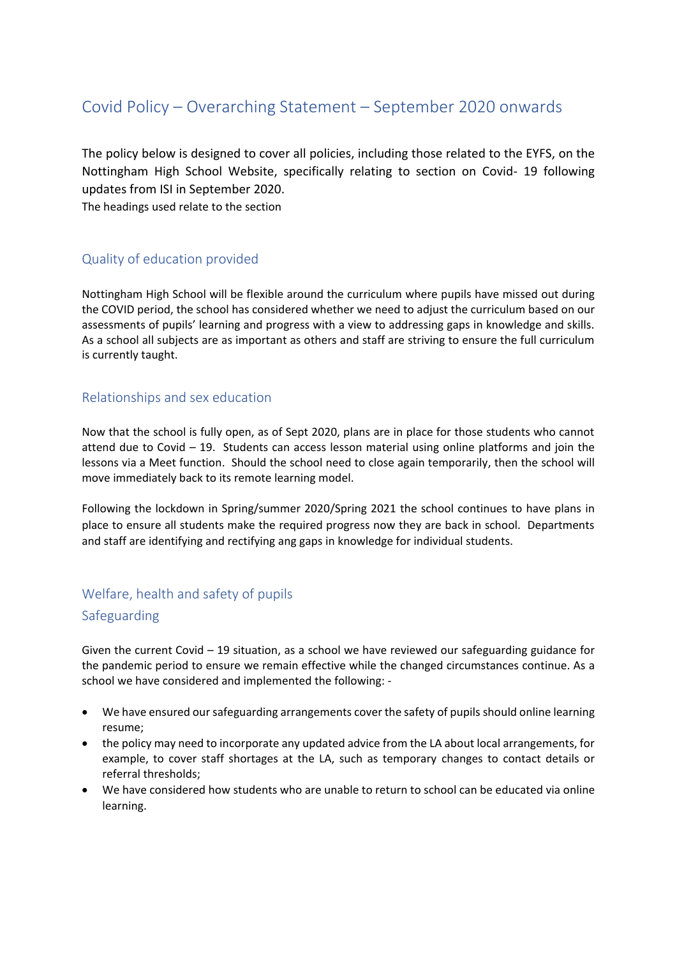# Covid Policy – Overarching Statement – September 2020 onwards

The policy below is designed to cover all policies, including those related to the EYFS, on the Nottingham High School Website, specifically relating to section on Covid- 19 following updates from ISI in September 2020.

The headings used relate to the section

## Quality of education provided

Nottingham High School will be flexible around the curriculum where pupils have missed out during the COVID period, the school has considered whether we need to adjust the curriculum based on our assessments of pupils' learning and progress with a view to addressing gaps in knowledge and skills. As a school all subjects are as important as others and staff are striving to ensure the full curriculum is currently taught.

#### Relationships and sex education

Now that the school is fully open, as of Sept 2020, plans are in place for those students who cannot attend due to Covid – 19. Students can access lesson material using online platforms and join the lessons via a Meet function. Should the school need to close again temporarily, then the school will move immediately back to its remote learning model.

Following the lockdown in Spring/summer 2020/Spring 2021 the school continues to have plans in place to ensure all students make the required progress now they are back in school. Departments and staff are identifying and rectifying ang gaps in knowledge for individual students.

## Welfare, health and safety of pupils

#### Safeguarding

Given the current Covid  $-19$  situation, as a school we have reviewed our safeguarding guidance for the pandemic period to ensure we remain effective while the changed circumstances continue. As a school we have considered and implemented the following: -

- We have ensured our safeguarding arrangements cover the safety of pupils should online learning resume;
- the policy may need to incorporate any updated advice from the LA about local arrangements, for example, to cover staff shortages at the LA, such as temporary changes to contact details or referral thresholds;
- We have considered how students who are unable to return to school can be educated via online learning.